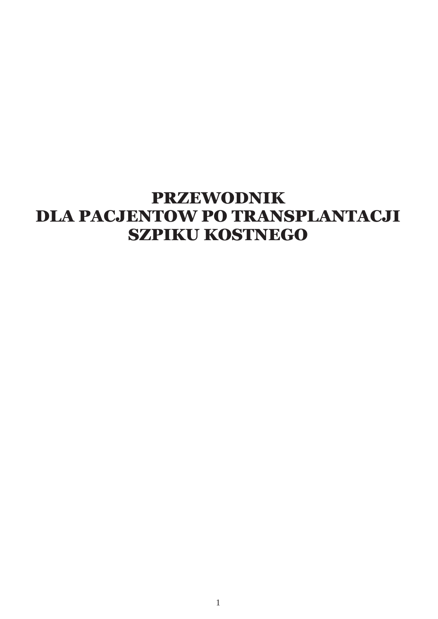# **PRZEWODNIK DLA PACJENTOW PO TRANSPLANTACJI** SZPIKU KOSTNEGO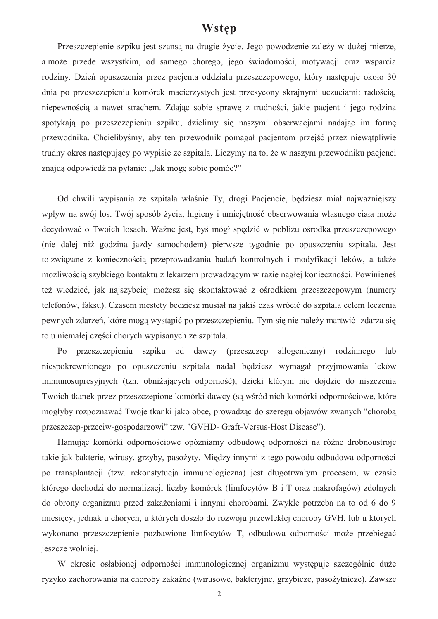# Wstep

Przeszczepienie szpiku jest szansą na drugie życie. Jego powodzenie zależy w dużej mierze, a może przede wszystkim, od samego chorego, jego świadomości, motywacji oraz wsparcia rodziny. Dzień opuszczenia przez pacienta oddziału przeszczepowego, który następuje około 30 dnia po przeszczepieniu komórek macierzystych jest przesycony skrajnymi uczuciami: radością, niepewnością a nawet strachem. Zdając sobie sprawę z trudności, jakie pacjent i jego rodzina spotykają po przeszczepieniu szpiku, dzielimy się naszymi obserwacjami nadając im formę przewodnika. Chcielibyśmy, aby ten przewodnik pomagał pacjentom przejść przez niewatpliwie trudny okres następujący po wypisie ze szpitala. Liczymy na to, że w naszym przewodniku pacjenci znajdą odpowiedź na pytanie: "Jak mogę sobie pomóc?"

Od chwili wypisania ze szpitala właśnie Ty, drogi Pacjencie, będziesz miał najważniejszy wpływ na swój los. Twój sposób życia, higieny i umiejetność obserwowania własnego ciała może decydować o Twoich losach. Ważne jest, byś mógł spedzić w pobliżu ośrodka przeszczepowego (nie dalej niż godzina jazdy samochodem) pierwsze tygodnie po opuszczeniu szpitala. Jest to związane z koniecznością przeprowadzania badań kontrolnych i modyfikacji leków, a także możliwością szybkiego kontaktu z lekarzem prowadzącym w razie nagłej konieczności. Powinieneś też wiedzieć, jak najszybciej możesz się skontaktować z ośrodkiem przeszczepowym (numery telefonów, faksu). Czasem niestety będziesz musiał na jakiś czas wrócić do szpitala celem leczenia pewnych zdarzeń, które mogą wystąpić po przeszczepieniu. Tym się nie należy martwić-zdarza się to u niemałej części chorych wypisanych ze szpitala.

przeszczepieniu szpiku od dawcy (przeszczep allogeniczny) rodzinnego  $P<sub>0</sub>$  $_{\text{lub}}$ niespokrewnionego po opuszczeniu szpitala nadal będziesz wymagał przyjmowania leków immunosupresyjnych (tzn. obniżających odporność), dzięki którym nie dojdzie do niszczenia Twoich tkanek przez przeszczepione komórki dawcy (są wśród nich komórki odpornościowe, które mogłyby rozpoznawać Twoje tkanki jako obce, prowadząc do szeregu objawów zwanych "chorobą przeszczep-przeciw-gospodarzowi" tzw. "GVHD- Graft-Versus-Host Disease").

Hamując komórki odpornościowe opóźniamy odbudowę odporności na różne drobnoustroje takie jak bakterie, wirusy, grzyby, pasożyty. Między innymi z tego powodu odbudowa odporności po transplantacji (tzw. rekonstytucja immunologiczna) jest długotrwałym procesem, w czasie którego dochodzi do normalizacji liczby komórek (limfocytów B i T oraz makrofagów) zdolnych do obrony organizmu przed zakażeniami i innymi chorobami. Zwykle potrzeba na to od 6 do 9 miesięcy, jednak u chorych, u których doszło do rozwoju przewlekłej choroby GVH, lub u których wykonano przeszczepienie pozbawione limfocytów T, odbudowa odporności może przebiegać jeszcze wolniej.

W okresie osłabionej odporności immunologicznej organizmu występuje szczególnie duże ryzyko zachorowania na choroby zakaźne (wirusowe, bakteryjne, grzybicze, pasożytnicze). Zawsze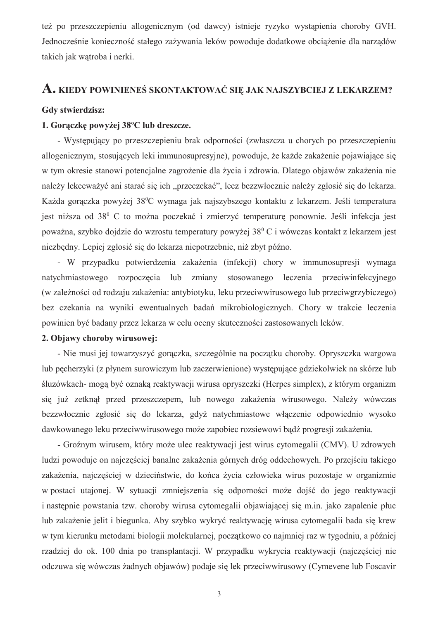też po przeszczepieniu allogenicznym (od dawcy) istnieje ryzyko wystąpienia choroby GVH. Jednocześnie konieczność stałego zażywania leków powoduje dodatkowe obciążenie dla narządów takich jak wątroba i nerki.

# A. KIEDY POWINIENEŚ SKONTAKTOWAĆ SIĘ JAK NAJSZYBCIEJ Z LEKARZEM?

## Gdy stwierdzisz:

# 1. Gorączkę powyżej 38°C lub dreszcze.

- Występujący po przeszczepieniu brak odporności (zwłaszcza u chorych po przeszczepieniu allogenicznym, stosujących leki immunosupresyjne), powoduje, że każde zakażenie pojawiające się w tym okresie stanowi potencjalne zagrożenie dla życia i zdrowia. Dlatego objawów zakażenia nie należy lekceważyć ani starać się ich "przeczekać", lecz bezzwłocznie należy zgłosić się do lekarza. Każda gorączka powyżej 38<sup>0</sup>C wymaga jak najszybszego kontaktu z lekarzem. Jeśli temperatura jest niższa od 38<sup>0</sup> C to można poczekać i zmierzyć temperature ponownie. Jeśli infekcja jest poważna, szybko dojdzie do wzrostu temperatury powyżej 38<sup>0</sup> C i wówczas kontakt z lekarzem jest niezbedny. Lepiej zgłosić się do lekarza niepotrzebnie, niż zbyt późno.

- W przypadku potwierdzenia zakażenia (infekcji) chory w immunosupresji wymaga natychmiastowego rozpoczęcia lub zmiany stosowanego leczenia przeciwinfekcyjnego (w zależności od rodzaju zakażenia: antybiotyku, leku przeciwwirusowego lub przeciwgrzybiczego) bez czekania na wyniki ewentualnych badań mikrobiologicznych. Chory w trakcie leczenia powinien być badany przez lekarza w celu oceny skuteczności zastosowanych leków.

# 2. Objawy choroby wirusowej:

- Nie musi jej towarzyszyć gorączka, szczególnie na początku choroby. Opryszczka wargowa lub pecherzyki (z płynem surowiczym lub zaczerwienione) występujące gdziekolwiek na skórze lub śluzówkach- mogą być oznaką reaktywacji wirusa opryszczki (Herpes simplex), z którym organizm się już zetknął przed przeszczepem, lub nowego zakażenia wirusowego. Należy wówczas bezzwłocznie zgłosić się do lekarza, gdyż natychmiastowe włączenie odpowiednio wysoko dawkowanego leku przeciwwirusowego może zapobiec rozsiewowi bądź progresji zakażenia.

- Groźnym wirusem, który może ulec reaktywacji jest wirus cytomegalii (CMV). U zdrowych ludzi powoduje on najczęściej banalne zakażenia górnych dróg oddechowych. Po przejściu takiego zakażenia, najczęściej w dzieciństwie, do końca życia człowieka wirus pozostaje w organizmie w postaci utajonej. W sytuacji zmniejszenia się odporności może dojść do jego reaktywacji i następnie powstania tzw. choroby wirusa cytomegalii objawiającej się m.in. jako zapalenie płuc lub zakażenie jelit i biegunka. Aby szybko wykryć reaktywację wirusa cytomegalii bada się krew w tym kierunku metodami biologii molekularnej, początkowo co najmniej raz w tygodniu, a później rzadziej do ok. 100 dnia po transplantacji. W przypadku wykrycia reaktywacji (najcześciej nie odczuwa się wówczas żadnych objawów) podaje się lek przeciwwirusowy (Cymevene lub Foscavir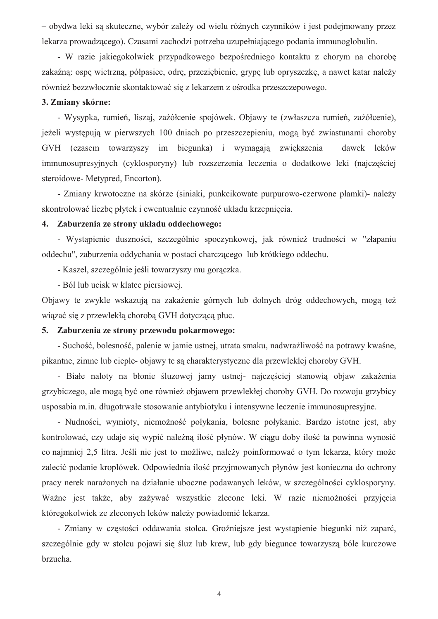- obydwa leki sa skuteczne, wybór zależy od wielu różnych czynników i jest podejmowany przez lekarza prowadzącego). Czasami zachodzi potrzeba uzupełniającego podania immunoglobulin.

- W razie jakiegokolwiek przypadkowego bezpośredniego kontaktu z chorym na chorobę zakaźną: ospę wietrzną, półpasiec, odrę, przeziębienie, grypę lub opryszczkę, a nawet katar należy również bezzwłocznie skontaktować się z lekarzem z ośrodka przeszczepowego.

### 3. Zmiany skórne:

- Wysypka, rumień, liszaj, zażółcenie spojówek. Objawy te (zwłaszcza rumień, zażółcenie), jeżeli występują w pierwszych 100 dniach po przeszczepieniu, mogą być zwiąstunami choroby GVH (czasem towarzyszy im biegunka) i wymagają zwiększenia dawek leków immunosupresyjnych (cyklosporyny) lub rozszerzenia leczenia o dodatkowe leki (najczęściej steroidowe- Metypred, Encorton).

- Zmiany krwotoczne na skórze (siniaki, punkcikowate purpurowo-czerwone plamki) - należy skontrolować liczbe płytek i ewentualnie czynność układu krzepniecia.

# 4. Zaburzenia ze strony układu oddechowego:

- Wystapienie duszności, szczególnie spoczynkowej, jak również trudności w "złapaniu" oddechu", zaburzenia oddychania w postaci charczacego lub krótkiego oddechu.

- Kaszel, szczególnie jeśli towarzyszy mu goraczka.

- Ból lub ucisk w klatce piersiowej.

Objawy te zwykle wskazują na zakażenie górnych lub dolnych dróg oddechowych, mogą też wiązać się z przewlekła chorobą GVH dotyczącą płuc.

## 5. Zaburzenia ze strony przewodu pokarmowego:

- Suchość, bolesność, palenie w jamie ustnej, utrata smaku, nadwrażliwość na potrawy kwaśne, pikantne, zimne lub ciepłe- objawy te sa charakterystyczne dla przewlekłej choroby GVH.

- Białe naloty na błonie śluzowej jamy ustnej- najczęściej stanowią objaw zakażenia grzybiczego, ale mogą być one również objawem przewlekłej choroby GVH. Do rozwoju grzybicy usposabia m.in. długotrwałe stosowanie antybiotyku i intensywne leczenie immunosupresyjne.

- Nudności, wymioty, niemożność połykania, bolesne połykanie. Bardzo istotne jest, aby kontrolować, czy udaje się wypić należną ilość płynów. W ciągu doby ilość ta powinna wynosić co najmniej 2,5 litra. Jeśli nie jest to możliwe, należy poinformować o tym lekarza, który może zalecić podanie kroplówek. Odpowiednia ilość przyjmowanych płynów jest konieczna do ochrony pracy nerek narażonych na działanie uboczne podawanych leków, w szczególności cyklosporyny. Ważne jest także, aby zażywać wszystkie zlecone leki. W razie niemożności przyjęcia któregokolwiek ze zleconych leków należy powiadomić lekarza.

- Zmiany w częstości oddawania stolca. Groźniejsze jest wystapienie biegunki niż zaparć, szczególnie gdy w stolcu pojawi się śluz lub krew, lub gdy biegunce towarzyszą bóle kurczowe brzucha.

 $\overline{4}$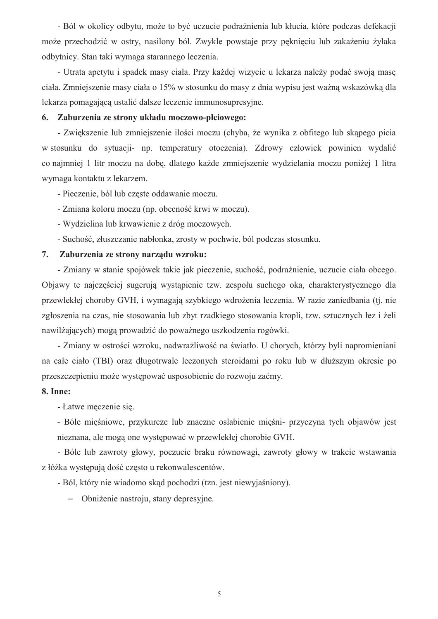- Ból w okolicy odbytu, może to być uczucie podrażnienia lub kłucia, które podczas defekacji może przechodzić w ostry, nasilony ból. Zwykle powstaje przy pęknięciu lub zakażeniu żylaka odbytnicy. Stan taki wymaga starannego leczenia.

- Utrata apetytu i spadek masy ciała. Przy każdej wizycie u lekarza należy podać swoją masę ciała. Zmniejszenie masy ciała o 15% w stosunku do masy z dnia wypisu jest ważną wskazówką dla lekarza pomagająca ustalić dalsze leczenie immunosupresyjne.

## 6. Zaburzenia ze strony układu moczowo-płciowego:

- Zwiekszenie lub zmniejszenie ilości moczu (chyba, że wynika z obfitego lub skapego picia w stosunku do sytuacji- np. temperatury otoczenia). Zdrowy człowiek powinien wydalić co najmniej 1 litr moczu na dobę, dlatego każde zmniejszenie wydzielania moczu poniżej 1 litra wymaga kontaktu z lekarzem.

- Pieczenie, ból lub częste oddawanie moczu.

- Zmiana koloru moczu (np. obecność krwi w moczu).
- Wydzielina lub krwawienie z dróg moczowych.
- Suchość, złuszczanie nabłonka, zrosty w pochwie, ból podczas stosunku.

# 7. Zaburzenia ze strony narzadu wzroku:

- Zmiany w stanie spojówek takie jak pieczenie, suchość, podrażnienie, uczucie ciała obcego. Objawy te najczęściej sugerują wystąpienie tzw. zespołu suchego oka, charakterystycznego dla przewlekłej choroby GVH, i wymagają szybkiego wdrożenia leczenia. W razie zaniedbania (tj. nie zgłoszenia na czas, nie stosowania lub zbyt rzadkiego stosowania kropli, tzw. sztucznych łez i żeli nawilżających) mogą prowadzić do poważnego uszkodzenia rogówki.

- Zmiany w ostrości wzroku, nadwrażliwość na światło. U chorych, którzy byli napromieniani na całe ciało (TBI) oraz długotrwale leczonych steroidami po roku lub w dłuższym okresie po przeszczepieniu może występować usposobienie do rozwoju zaćmy.

### **8. Inne:**

- Łatwe meczenie sie.

- Bóle mięśniowe, przykurcze lub znaczne osłabienie mięśni- przyczyna tych objawów jest nieznana, ale mogą one występować w przewlekłej chorobie GVH.

- Bóle lub zawroty głowy, poczucie braku równowagi, zawroty głowy w trakcie wstawania z łóżka występują dość często u rekonwalescentów.

- Ból, który nie wiadomo skąd pochodzi (tzn. jest niewyjaśniony).

- Obniżenie nastroju, stany depresyjne.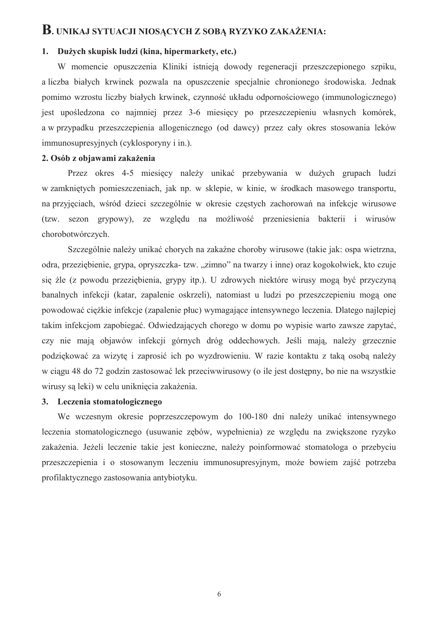# B. UNIKAJ SYTUACJI NIOSĄCYCH Z SOBĄ RYZYKO ZAKAŻENIA:

# 1. Dużych skupisk ludzi (kina, hipermarkety, etc.)

W momencie opuszczenia Kliniki istnieją dowody regeneracji przeszczepionego szpiku, a liczba białych krwinek pozwala na opuszczenie specjalnie chronionego środowiska. Jednak pomimo wzrostu liczby białych krwinek, czynność układu odpornościowego (immunologicznego) jest upośledzona co najmniej przez 3-6 miesięcy po przeszczepieniu własnych komórek, a w przypadku przeszczepienia allogenicznego (od dawcy) przez cały okres stosowania leków immunosupresyjnych (cyklosporyny i in.).

# 2. Osób z objawami zakażenia

Przez okres 4-5 miesięcy należy unikać przebywania w dużych grupach ludzi w zamkniętych pomieszczeniach, jak np. w sklepie, w kinie, w środkach masowego transportu, na przyjęciąch, wśród dzięci szczególnie w okresie częstych zachorowań na infekcję wirusowe (tzw. sezon grypowy), ze względu na możliwość przeniesienia bakterii i wirusów chorobotwórczych.

Szczególnie należy unikać chorych na zakaźne choroby wirusowe (takie jak: ospa wietrzna, odra, przeziębienie, grypa, opryszczka- tzw. "zimno" na twarzy i inne) oraz kogokolwiek, kto czuje się źle (z powodu przeziębienia, grypy itp.). U zdrowych niektóre wirusy mogą być przyczyna banalnych infekcii (katar, zapalenie oskrzeli), natomiast u ludzi po przeszczepieniu moga one powodować ciężkie infekcje (zapalenie płuc) wymagające intensywnego leczenia. Dlatego najlepiej takim infekcjom zapobiegać. Odwiedzających chorego w domu po wypisie warto zawsze zapytać, czy nie mają objawów infekcji górnych dróg oddechowych. Jeśli mają, należy grzecznie podziękować za wizytę i zaprosić ich po wyzdrowieniu. W razie kontaktu z taką osobą należy w ciągu 48 do 72 godzin zastosować lek przeciwwirusowy (o ile jest dostępny, bo nie na wszystkie wirusy sa leki) w celu unikniecia zakażenia.

# 3. Leczenia stomatologicznego

We wczesnym okresie poprzeszczepowym do 100-180 dni należy unikać intensywnego leczenia stomatologicznego (usuwanie zebów, wypełnienia) ze względu na zwiekszone ryzyko zakażenia. Jeżeli leczenie takie jest konieczne, należy poinformować stomatologa o przebycju przeszczepienia i o stosowanym leczeniu immunosupresyjnym, może bowiem zajść potrzeba profilaktycznego zastosowania antybiotyku.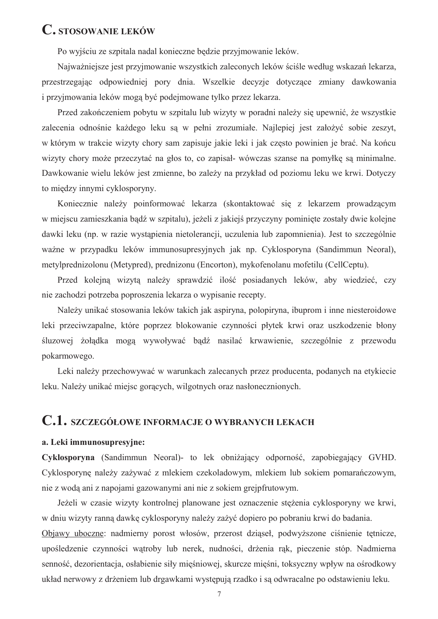# C. STOSOWANIE LEKÓW

Po wyjściu ze szpitala nadal konieczne bedzie przyjmowanie leków.

Najważniejsze jest przyjmowanie wszystkich zaleconych leków ściśle według wskazań lekarza, przestrzegając odpowiedniej pory dnia. Wszelkie decyzje dotyczące zmiany dawkowania i przyjmowania leków mogą być podejmowane tylko przez lekarza.

Przed zakończeniem pobytu w szpitalu lub wizyty w poradni należy się upewnić, że wszystkie zalecenia odnośnie każdego leku sa w pełni zrozumiałe. Najlepiej jest założyć sobie zeszyt, w którym w trakcie wizyty chory sam zapisuje jakie leki i jak często powinien je brać. Na końcu wizyty chory może przeczytać na głos to, co zapisał- wówczas szanse na pomyłke sa minimalne. Dawkowanie wielu leków jest zmienne, bo zależy na przykład od poziomu leku we krwi. Dotyczy to między innymi cyklosporyny.

Koniecznie należy poinformować lekarza (skontaktować się z lekarzem prowadzącym w miejscu zamieszkania bądź w szpitalu), jeżeli z jakiejś przyczyny pominięte zostały dwie kolejne dawki leku (np. w razie wystąpienia nietolerancji, uczulenia lub zapomnienia). Jest to szczególnie ważne w przypadku leków immunosupresyjnych jak np. Cyklosporyna (Sandimmun Neoral), metylprednizolonu (Metypred), prednizonu (Encorton), mykofenolanu mofetilu (CellCeptu).

Przed kolejna wizyta należy sprawdzić ilość posiadanych leków, aby wiedzieć, czy nie zachodzi potrzeba poproszenia lekarza o wypisanie recepty.

Należy unikać stosowania leków takich jak aspiryna, polopiryna, ibuprom i inne niesteroidowe leki przeciwzapalne, które poprzez blokowanie czynności płytek krwi oraz uszkodzenie błony śluzowej żołądka mogą wywoływać bądź nasilać krwawienie, szczególnie z przewodu pokarmowego.

Leki należy przechowywać w warunkach zalecanych przez producenta, podanych na etykiecie leku. Należy unikać miejsc goracych, wilgotnych oraz nasłonecznionych.

# C.1. SZCZEGÓŁOWE INFORMACJE O WYBRANYCH LEKACH

### a. Leki immunosupresyjne:

Cyklosporyna (Sandimmun Neoral)- to lek obniżający odporność, zapobiegający GVHD. Cyklosporynę należy zażywać z mlekiem czekoladowym, mlekiem lub sokiem pomarańczowym, nie z woda ani z napojami gazowanymi ani nie z sokiem grejpfrutowym.

Jeżeli w czasie wizyty kontrolnej planowane jest oznaczenie steżenia cyklosporyny we krwi, w dniu wizyty ranną dawkę cyklosporyny należy zażyć dopiero po pobraniu krwi do badania.

Objawy uboczne: nadmierny porost włosów, przerost dziąseł, podwyższone ciśnienie tętnicze, upośledzenie czynności watroby lub nerek, nudności, drżenia rak, pieczenie stóp. Nadmierna senność, dezorientacja, osłabienie siły mięśniowej, skurcze mięśni, toksyczny wpływ na ośrodkowy układ nerwowy z drżeniem lub drgawkami występują rzadko i są odwracalne po odstawieniu leku.

 $\overline{7}$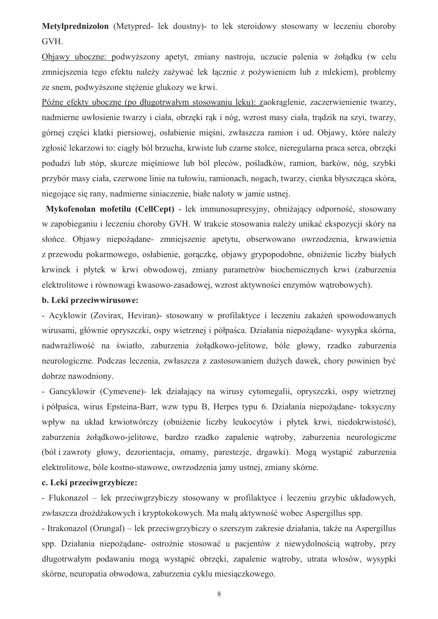Metylprednizolon (Metypred- lek doustny)- to lek steroidowy stosowany w leczeniu choroby GVH.

Objawy uboczne: podwyższony apetyt, zmiany nastroju, uczucie palenia w żołądku (w celu zmniejszenia tego efektu należy zażywać lek łącznie z pożywieniem lub z mlekiem), problemy ze snem, podwyższone stężenie glukozy we krwi.

Późne efekty uboczne (po długotrwałym stosowaniu leku): zaokraglenie, zaczerwienienie twarzy, nadmierne uwłosienie twarzy i ciała, obrzeki rak i nóg, wzrost masy ciała, tradzik na szyj, twarzy, górnej części klatki piersiowej, osłabienie mieśni, zwłaszcza ramion i ud. Objawy, które należy zgłosić lekarzowi to: ciągły ból brzucha, krwiste lub czarne stolce, nieregularna praca serca, obrzęki podudzi lub stóp, skurcze mięśniowe lub ból pleców, pośladków, ramion, barków, nóg, szybki przybór masy ciała, czerwone linie na tułowiu, ramionach, nogach, twarzy, cienka błyszcząca skóra, niegojące się rany, nadmierne siniaczenie, białe naloty w jamie ustnej.

Mykofenolan mofetilu (CellCept) - lek immunosupresyjny, obniżający odporność, stosowany w zapobieganiu i leczeniu choroby GVH. W trakcie stosowania należy unikać ekspozycji skóry na słońce. Objawy niepożadane- zmniejszenie apetytu, obserwowano owrzodzenia, krwawienia z przewodu pokarmowego, osłabienie, gorączkę, objawy grypopodobne, obniżenie liczby białych krwinek i płytek w krwi obwodowej, zmiany parametrów biochemicznych krwi (zaburzenia elektrolitowe i równowagi kwasowo-zasadowej, wzrost aktywności enzymów wątrobowych).

### b. Leki przeciwwirusowe:

- Acyklowir (Zovirax, Heviran) stosowany w profilaktyce i leczeniu zakażeń spowodowanych wirusami, głównie opryszczki, ospy wietrznej i półpaśca. Działania niepożądane- wysypka skórna, nadwrażliwość na światło, zaburzenia żołądkowo-jelitowe, bóle głowy, rzadko zaburzenia neurologiczne. Podczas leczenia, zwłaszcza z zastosowaniem dużych dawek, chory powinien być dobrze nawodniony.

- Gancyklowir (Cymevene) lek działający na wirusy cytomegalii, opryszczki, ospy wietrznej i półpaśca, wirus Epsteina-Barr, wzw typu B, Herpes typu 6. Działania niepożadane- toksyczny wpływ na układ krwiotwórczy (obniżenie liczby leukocytów i płytek krwi, niedokrwistość), zaburzenia żołądkowo-jelitowe, bardzo rzadko zapalenie wątroby, zaburzenia neurologiczne (ból i zawroty głowy, dezorientacja, omamy, parestezje, drgawki). Mogą wystąpić zaburzenia elektrolitowe, bóle kostno-stawowe, owrzodzenia jamy ustnej, zmiany skórne.

### c. Leki przeciwgrzybicze:

- Flukonazol – lek przeciwgrzybiczy stosowany w profilaktyce i leczeniu grzybic układowych, zwłaszcza drożdżakowych i kryptokokowych. Ma mała aktywność wobec Aspergillus spp.

- Itrakonazol (Orungal) – lek przeciwgrzybiczy o szerszym zakresię działania, także na Aspergillus spp. Działania niepożądane- ostrożnie stosować u pacjentów z niewydolnością wątroby, przy długotrwałym podawaniu moga wystapić obrzeki, zapalenie watroby, utrata włosów, wysypki skórne, neuropatia obwodowa, zaburzenia cyklu miesiączkowego.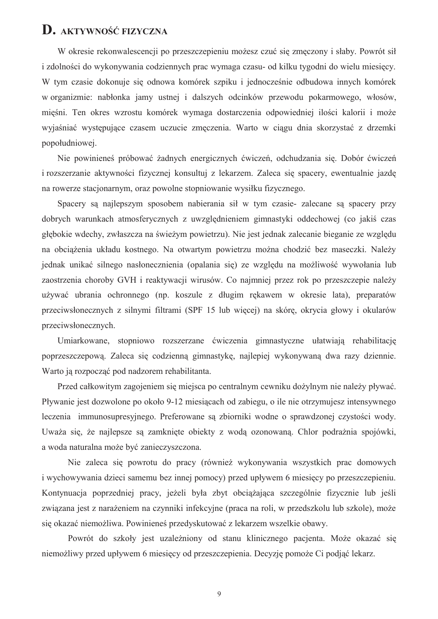# D. AKTYWNOŚĆ FIZYCZNA

W okresie rekonwalescencji po przeszczepieniu możesz czuć się zmęczony i słaby. Powrót sił i zdolności do wykonywania codziennych prac wymaga czasu- od kilku tygodni do wielu miesięcy. W tym czasie dokonuje się odnowa komórek szpiku i jednocześnie odbudowa innych komórek w organizmie: nabłonka jamy ustnej i dalszych odcinków przewodu pokarmowego, włosów, mięśni. Ten okres wzrostu komórek wymaga dostarczenia odpowiedniej ilości kalorii i może wyjaśniać występujące czasem uczucie zmeczenia. Warto w ciągu dnia skorzystać z drzemki popołudniowej.

Nie powinieneś próbować żadnych energicznych ćwiczeń, odchudzania się. Dobór ćwiczeń i rozszerzanie aktywności fizycznej konsultuj z lekarzem. Zaleca się spacery, ewentualnie jazde na rowerze stacjonarnym, oraz powolne stopniowanie wysiłku fizycznego.

Spacery są najlepszym sposobem nabierania sił w tym czasie- zalecane są spacery przy dobrych warunkach atmosferycznych z uwzględnieniem gimnastyki oddechowej (co jakiś czas głębokie wdechy, zwłaszcza na świeżym powietrzu). Nie jest jednak zalecanie bieganie ze względu na obciążenia układu kostnego. Na otwartym powietrzu można chodzić bez maseczki. Należy jednak unikać silnego nasłonecznienia (opalania się) ze względu na możliwość wywołania lub zaostrzenia choroby GVH i reaktywacji wirusów. Co najmniej przez rok po przeszczepie należy używać ubrania ochronnego (np. koszule z długim rekawem w okresie lata), preparatów przeciwsłonecznych z silnymi filtrami (SPF 15 lub więcej) na skórę, okrycia głowy i okularów przeciwsłonecznych.

Umiarkowane, stopniowo rozszerzane ćwiczenia gimnastyczne ułatwiają rehabilitacje poprzeszczepową. Zaleca się codzienną gimnastykę, najlepiej wykonywaną dwa razy dziennie. Warto ją rozpocząć pod nadzorem rehabilitanta.

Przed całkowitym zagojeniem się miejsca po centralnym cewniku dożylnym nie należy pływać. Pływanie jest dozwolone po około 9-12 miesiącach od zabiegu, o ile nie otrzymujesz intensywnego leczenia immunosupresvinego. Preferowane sa zbiorniki wodne o sprawdzonej czystości wody. Uważa się, że najlepsze są zamknięte obiekty z wodą ozonowaną. Chlor podrażnia spojówki, a woda naturalna może być zanieczyszczona.

Nie zaleca się powrotu do pracy (również wykonywania wszystkich prac domowych i wychowywania dzieci samemu bez innej pomocy) przed upływem 6 miesięcy po przeszczepieniu. Kontynuacja poprzedniej pracy, jeżeli była zbyt obciążająca szczególnie fizycznie lub jeśli związana jest z narażeniem na czynniki infekcyjne (praca na roli, w przedszkolu lub szkole), może się okazać niemożliwa. Powinieneś przedyskutować z lekarzem wszelkie obawy.

Powrót do szkoły jest uzależniony od stanu klinicznego pacjenta. Może okazać się niemożliwy przed upływem 6 miesięcy od przeszczepienia. Decyzję pomoże Ci podjąć lekarz.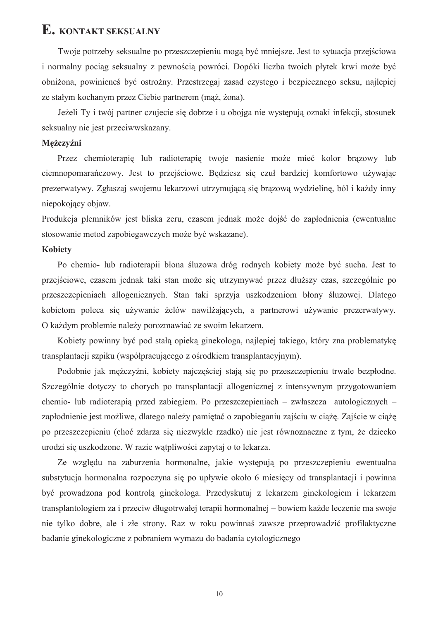# E. KONTAKT SEKSUALNY

Twoje potrzeby seksualne po przeszczepieniu moga być mniejsze. Jest to sytuacja przejściowa i normalny pociąg seksualny z pewnością powróci. Dopóki liczba twoich płytek krwi może być obniżona, powinieneś być ostrożny. Przestrzegaj zasad czystego i bezpiecznego seksu, najlepiej ze stałym kochanym przez Ciebie partnerem (mąż, żona).

Jeżeli Ty i twój partner czujecie się dobrze i u obojga nie występują oznaki infekcji, stosunek seksualny nie jest przeciwwskazany.

# Mężczyźni

Przez chemioterapie lub radioterapie twoje nasienie może mieć kolor brazowy lub ciemnopomarańczowy. Jest to przejściowe. Bedziesz się czuł bardziej komfortowo używając prezerwatywy. Zgłaszaj swojemu lekarzowi utrzymującą się brązową wydzielinę, ból i każdy inny niepokojący objaw.

Produkcja plemników jest bliska zeru, czasem jednak może dojść do zapłodnienia (ewentualne stosowanie metod zapobiegawczych może być wskazane).

### **Kobiety**

Po chemio- lub radioterapii błona śluzowa dróg rodnych kobiety może być sucha. Jest to przejściowe, czasem jednak taki stan może się utrzymywać przez dłuższy czas, szczególnie po przeszczepieniach allogenicznych. Stan taki sprzyją uszkodzeniom błony śluzowej. Dlatego kobietom poleca się używanie żelów nawilżających, a partnerowi używanie prezerwatywy. O każdym problemie należy porozmawiać ze swoim lekarzem.

Kobiety powinny być pod stałą opieką ginekologą, najlepiej takiego, który zna problematykę transplantacji szpiku (współpracującego z ośrodkiem transplantacyjnym).

Podobnie jak mężczyźni, kobiety najczęściej stają się po przeszczepieniu trwale bezpłodne. Szczególnie dotyczy to chorych po transplantacji allogenicznej z intensywnym przygotowaniem chemio- lub radioterapia przed zabiegiem. Po przeszczepieniach – zwłaszcza autologicznych – zapłodnienie jest możliwe, dlatego należy pamietać o zapobieganiu zajściu w ciaże. Zajście w ciaże po przeszczepieniu (choć zdarza się niezwyklę rządko) nie jest równoznaczne z tym, że dziecko urodzi się uszkodzone. W razie wątpliwości zapytaj o to lekarza.

Ze względu na zaburzenia hormonalne, jakie występują po przeszczepieniu ewentualna substytucja hormonalna rozpoczyna się po upływie około 6 miesiecy od transplantacji i powinna być prowadzona pod kontrolą ginekologa. Przedyskutuj z lekarzem ginekologiem i lekarzem transplantologiem za i przeciw długotrwałej terapii hormonalnej – bowiem każde leczenie ma swoje nie tylko dobre, ale i złe strony. Raz w roku powinnaś zawsze przeprowadzić profilaktyczne badanie ginekologiczne z pobraniem wymazu do badania cytologicznego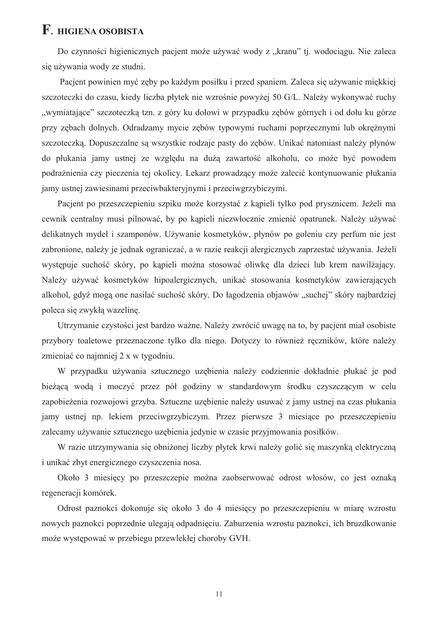# F. HIGIENA OSOBISTA

Do czynności higienicznych pacjent może używać wody z "kranu" tj. wodociągu. Nie zaleca się używania wody ze studni.

Pacjent powinien myć zęby po każdym posiłku i przed spaniem. Zaleca się używanie miękkiej szczoteczki do czasu, kiedy liczba płytek nie wzrośnie powyżej 50 G/L. Należy wykonywać ruchy "wymiatające" szczoteczką tzn. z góry ku dołowi w przypadku zebów górnych i od dołu ku górze przy zębach dolnych. Odradzamy mycie zębów typowymi ruchami poprzecznymi lub okrężnymi szczoteczką. Dopuszczalne są wszystkie rodzaje pasty do zębów. Unikać natomiast należy płynów do płukania jamy ustnej ze wzgledu na duża zawartość alkoholu, co może być powodem podrażnienia czy pieczenia tej okolicy. Lekarz prowadzacy może zalecić kontynuowanie płukania jamy ustnej zawiesinami przeciwbakteryjnymi i przeciwgrzybiczymi.

Pacient po przeszczepieniu szpiku może korzystać z kapieli tylko pod prysznicem. Jeżeli ma cewnik centralny musi pilnować, by po kapieli niezwłocznie zmienić opatrunek. Należy używać delikatnych mydeł i szamponów. Używanie kosmetyków, płynów po goleniu czy perfum nie jest zabronione, należy je jednak ograniczać, a w razie reakcji alergicznych zaprzestać używania. Jeżeli występuje suchość skóry, po kapieli można stosować oliwkę dla dzieci lub krem nawilżający. Należy używać kosmetyków hipoalergicznych, unikać stosowania kosmetyków zawierających alkohol, gdyż mogą one nasilać suchość skóry. Do łagodzenia objawów "suchej" skóry najbardziej poleca się zwykła wazeline.

Utrzymanie czystości jest bardzo ważne. Należy zwrócić uwagę na to, by pacjent miał osobiste przybory toaletowe przeznaczone tylko dla niego. Dotyczy to również ręczników, które należy zmieniać co najmniej 2 x w tygodniu.

W przypadku używania sztucznego uzębienia należy codziennie dokładnie płukać je pod bieżącą wodą i moczyć przez pół godziny w standardowym środku czyszczącym w celu zapobieżenia rozwojowi grzyba. Sztuczne uzębienie należy usuwać z jamy ustnej na czas płukania jamy ustnej np. lekiem przeciwgrzybiczym. Przez pierwsze 3 miesiące po przeszczepieniu zalecamy używanie sztucznego uzębienia jedynie w czasie przyjmowania posiłków.

W razie utrzymywania się obniżonej liczby płytek krwi należy golić się maszynką elektryczną i unikać zbyt energicznego czyszczenia nosa.

Około 3 miesięcy po przeszczepie można zaobserwować odrost włosów, co jest oznaką regeneracji komórek.

Odrost paznokci dokonuje się około 3 do 4 miesięcy po przeszczepieniu w miarę wzrostu nowych paznokci poprzednie ulegają odpadnięciu. Zaburzenia wzrostu paznokci, ich bruzdkowanie może występować w przebiegu przewlekłej choroby GVH.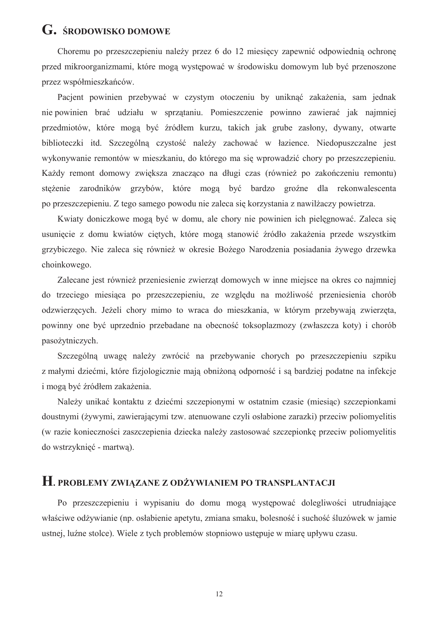# G. ŚRODOWISKO DOMOWE

Choremu po przeszczepieniu należy przez 6 do 12 miesięcy zapewnić odpowiednią ochronę przed mikroorganizmami, które mogą występować w środowisku domowym lub być przenoszone przez współmieszkańców.

Pacient powinien przebywać w czystym otoczeniu by uniknąć zakażenia, sam jednak nie powinien brać udziału w sprzątaniu. Pomieszczenie powinno zawierać jak najmniej przedmiotów, które moga być źródłem kurzu, takich jak grube zasłony, dywany, otwarte biblioteczki itd. Szczególną czystość należy zachować w łazience. Niedopuszczalne jest wykonywanie remontów w mieszkaniu, do którego ma się wprowadzić chory po przeszczepieniu. Każdy remont domowy zwieksza znaczaco na długi czas (również po zakończeniu remontu) stężenie zarodników grzybów, które mogą być bardzo groźne dla rekonwalescenta po przeszczepieniu. Z tego samego powodu nie zaleca się korzystania z nawilżączy powietrzą.

Kwiaty doniczkowe mogą być w domu, ale chory nie powinien ich pielęgnować. Zaleca się usunięcie z domu kwiatów ciętych, które mogą stanowić źródło zakażenia przede wszystkim grzybiczego. Nie zaleca się również w okresie Bożego Narodzenia posiadania żywego drzewka choinkowego.

Zalecane jest również przeniesienie zwierząt domowych w inne miejsce na okres co najmniej do trzeciego miesiąca po przeszczepieniu, ze względu na możliwość przeniesienia chorób odzwierzecych. Jeżeli chory mimo to wraca do mieszkania, w którym przebywają zwierzeta, powinny one być uprzednio przebadane na obecność toksoplazmozy (zwłaszcza koty) i chorób pasożytniczych.

Szczególną uwagę należy zwrócić na przebywanie chorych po przeszczepieniu szpiku z małymi dziećmi, które fizjologicznie mają obniżoną odporność i są bardziej podatne na infekcje i moga być źródłem zakażenia.

Należy unikać kontaktu z dziećmi szczepionymi w ostatnim czasie (miesiąc) szczepionkami doustnymi (żywymi, zawierającymi tzw. atenuowane czyli osłabione zarazki) przeciw poliomyelitis (w razie konieczności zaszczepienia dziecka należy zastosować szczepionke przeciw poliomyelitis do wstrzyknięć - martwą).

# H. PROBLEMY ZWIĄZANE Z ODŻYWIANIEM PO TRANSPLANTACJI

Po przeszczepieniu i wypisaniu do domu mogą występować dolegliwości utrudniające właściwe odżywianie (np. osłabienie apetytu, zmiana smaku, bolesność i suchość śluzówek w jamie ustnej, luźne stolce). Wiele z tych problemów stopniowo ustępuje w miarę upływu czasu.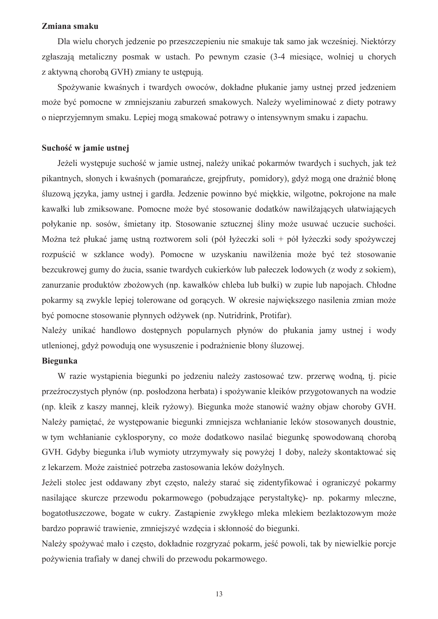### Zmiana smaku

Dla wielu chorych jedzenie po przeszczepieniu nie smakuje tak samo jak wcześniej. Niektórzy zgłaszają metaliczny posmak w ustach. Po pewnym czasie (3-4 miesiące, wolniej u chorych z aktywna choroba GVH) zmiany te ustepuja.

Spożywanie kwaśnych i twardych owoców, dokładne płukanie jamy ustnej przed jedzeniem może być pomocne w zmniejszaniu zaburzeń smakowych. Należy wyeliminować z diety potrawy o nieprzyjemnym smaku. Lepiej mogą smakować potrawy o intensywnym smaku i zapachu.

### Suchość w jamie ustnej

Jeżeli występuje suchość w jamie ustnej, należy unikać pokarmów twardych i suchych, jak też pikantnych, słonych i kwaśnych (pomarańcze, grejpfruty, pomidory), gdyż mogą one drażnić błone śluzowa języka, jamy ustnej i gardła. Jedzenie powinno być miękkie, wilgotne, pokrojone na małe kawałki lub zmiksowane. Pomocne może być stosowanie dodatków nawilżających ułatwiających połykanie np. sosów, śmietany itp. Stosowanie sztucznej śliny może usuwać uczucie suchości. Można też płukać jame ustna roztworem soli (pół łyżeczki soli + pół łyżeczki sody spożywczej rozpuścić w szklance wody). Pomocne w uzyskaniu nawilżenia może być też stosowanie bezcukrowej gumy do żucia, ssanie twardych cukierków lub pałeczek lodowych (z wody z sokiem). zanurzanie produktów zbożowych (np. kawałków chleba lub bułki) w zupie lub napojach. Chłodne pokarmy są zwykle lepiej tolerowane od gorących. W okresie największego nasilenia zmian może być pomocne stosowanie płynnych odżywek (np. Nutridrink, Protifar).

Należy unikać handlowo dostępnych popularnych płynów do płukania jamy ustnej i wody utlenionej, gdyż powodują one wysuszenie i podrażnienie błony śluzowej.

# **Biegunka**

W razie wystąpienia biegunki po jedzeniu należy zastosować tzw. przerwę wodną, tj. picie przeźroczystych płynów (np. posłodzona herbata) i spożywanie kleików przygotowanych na wodzie (np. klejk z kaszy mannej, klejk ryżowy). Biegunka może stanowić ważny objaw choroby GVH. Należy pamiętać, że występowanie biegunki zmniejsza wchłanianie leków stosowanych doustnie, w tym wchłanianie cyklosporyny, co może dodatkowo nasilać biegunkę spowodowaną chorobą GVH. Gdvby biegunka i/lub wymioty utrzymywały się powyżej 1 doby, należy skontaktować się z lekarzem. Może zaistnieć potrzeba zastosowania leków dożylnych.

Jeżeli stolec jest oddawany zbyt czesto, należy starać się zidentyfikować i ograniczyć pokarmy nasilające skurcze przewodu pokarmowego (pobudzające perystaltyke) - np. pokarmy mleczne, bogatotłuszczowe, bogate w cukry. Zastapienie zwykłego mleka mlekiem bezlaktozowym może bardzo poprawić trawienie, zmniejszyć wzdecia i skłonność do biegunki.

Należy spożywać mało i często, dokładnie rozgryzać pokarm, jeść powoli, tak by niewielkie porcje pożywienia trafiały w danej chwili do przewodu pokarmowego.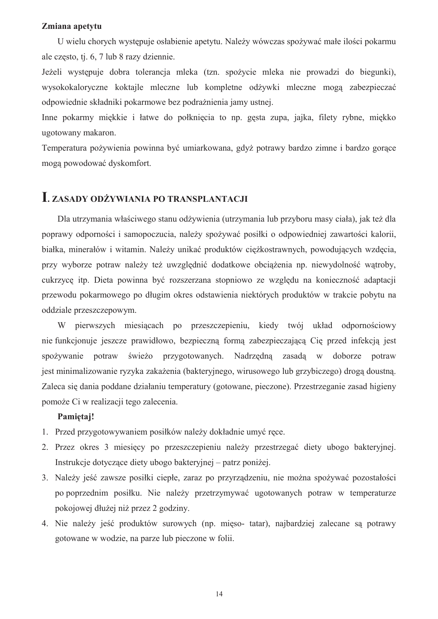### Zmiana apetytu

U wielu chorvch wystepuje osłabienie apetytu. Należy wówczas spożywać małe ilości pokarmu ale często, tj. 6, 7 lub 8 razy dziennie.

Jeżeli występuje dobra tolerancja mleka (tzn. spożycie mleka nie prowadzi do biegunki), wysokokaloryczne koktajle mleczne lub kompletne odżywki mleczne mogą zabezpieczać odpowiednie składniki pokarmowe bez podrażnienia jamy ustnej.

Inne pokarmy miekkie i łatwe do połkniecia to np. gesta zupa, jajka, filety rybne, miekko ugotowany makaron.

Temperatura pożywienia powinna być umiarkowana, gdyż potrawy bardzo zimne i bardzo gorące mogą powodować dyskomfort.

# **I. ZASADY ODŻYWIANIA PO TRANSPLANTACJI**

Dla utrzymania właściwego stanu odżywienia (utrzymania lub przyboru masy ciała), jak też dla poprawy odporności i samopoczucia, należy spożywać posiłki o odpowiedniej zawartości kalorii, białka, minerałów i witamin. Należy unikać produktów ciężkostrawnych, powodujących wzdęcia, przy wyborze potraw należy też uwzględnić dodatkowe obciążenia np. niewydolność watroby, cukrzyce itp. Dieta powinna być rozszerzana stopniowo ze wzgledu na konieczność adaptacji przewodu pokarmowego po długim okres odstawienia niektórych produktów w trakcie pobytu na oddziale przeszczepowym.

W pierwszych miesiącach po przeszczepieniu, kiedy twój układ odpornościowy nie funkcjonuje jeszcze prawidłowo, bezpieczną formą zabezpieczającą Cię przed infekcją jest spożywanie potraw świeżo przygotowanych. Nadrzędną zasadą w doborze potraw jest minimalizowanie ryzyka zakażenia (bakteryjnego, wirusowego lub grzybiczego) drogą doustną. Zaleca się dania poddane działaniu temperatury (gotowane, pieczone). Przestrzeganie zasad higieny pomoże Ci w realizacji tego zalecenia.

### Pamietai!

- 1. Przed przygotowywaniem posiłków należy dokładnie umyć rece.
- 2. Przez okres 3 miesięcy po przeszczepieniu należy przestrzegać diety ubogo bakteryjnej. Instrukcje dotyczące diety ubogo bakteryjnej – patrz poniżej.
- 3. Należy jeść zawsze posiłki ciepłe, zaraz po przyrządzeniu, nie można spożywać pozostałości po poprzednim posiłku. Nie należy przetrzymywać ugotowanych potraw w temperaturze pokojowej dłużej niż przez 2 godziny.
- 4. Nie należy jeść produktów surowych (np. mieso- tatar), najbardziej zalecane są potrawy gotowane w wodzie, na parze lub pieczone w folii.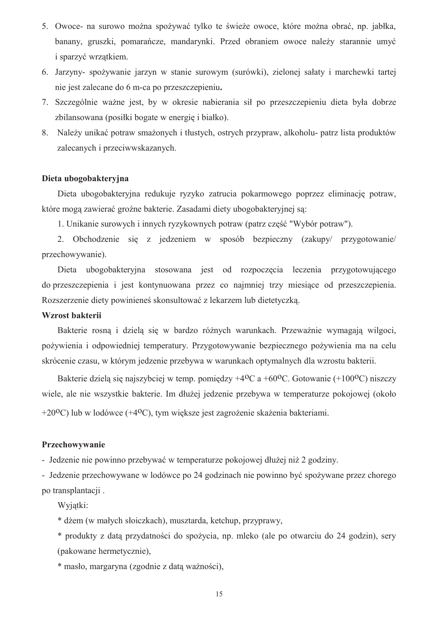- 5. Owoce- na surowo można spożywać tylko te świeże owoce, które można obrać, np. jabłka, banany, gruszki, pomarańcze, mandarynki. Przed obraniem owoce należy starannie umyć i sparzyć wrzątkiem.
- 6. Jarzyny- spożywanie jarzyn w stanie surowym (surówki), zielonej sałaty i marchewki tartej nie jest zalecane do 6 m-ca po przeszczepieniu.
- 7. Szczególnie ważne jest, by w okresie nabierania sił po przeszczepieniu dieta była dobrze zbilansowana (posiłki bogate w energie i białko).
- 8. Należy unikać potraw smażonych i tłustych, ostrych przypraw, alkoholu- patrz lista produktów zalecanych i przeciwwskazanych.

### Dieta ubogobakteryjna

Dieta ubogobakteryjna redukuje ryzyko zatrucia pokarmowego poprzez eliminację potraw, które moga zawierać groźne bakterie. Zasadami diety ubogobakteryjnej sa:

1. Unikanie surowych i innych ryzykownych potraw (patrz część "Wybór potraw").

2. Obchodzenie się z jedzeniem w sposób bezpieczny (zakupy/ przygotowanie/ przechowywanie).

ubogobaktervina stosowana jest od rozpoczecia leczenia przygotowującego Dieta do przeszczepienia i jest kontynuowana przez co najmniej trzy miesiące od przeszczepienia. Rozszerzenie diety powinieneś skonsultować z lekarzem lub dietetyczką.

### Wzrost bakterii

Bakterie rosną i dzielą się w bardzo różnych warunkach. Przeważnie wymagają wilgoci, pożywienia i odpowiedniej temperatury. Przygotowywanie bezpiecznego pożywienia ma na celu skrócenie czasu, w którym jedzenie przebywa w warunkach optymalnych dla wzrostu bakterii.

Bakterie dziela się najszybciej w temp. pomiedzy +4<sup>o</sup>C a +60<sup>o</sup>C. Gotowanie (+100<sup>o</sup>C) niszczy wiele, ale nie wszystkie bakterie. Im dłużej jedzenie przebywa w temperaturze pokojowej (około +20<sup>o</sup>C) lub w lodówce (+4<sup>o</sup>C), tym większe jest zagrożenie skażenia bakteriami.

### Przechowywanie

- Jedzenie nie powinno przebywać w temperaturze pokojowej dłużej niż 2 godziny.

- Jedzenie przechowywane w lodówce po 24 godzinach nie powinno być spożywane przez chorego po transplantacji.

Wviatki:

\* dżem (w małych słoiczkach), musztarda, ketchup, przyprawy,

\* produkty z datą przydatności do spożycia, np. mleko (ale po otwarciu do 24 godzin), sery (pakowane hermetycznie).

\* masło, margaryna (zgodnie z datą ważności),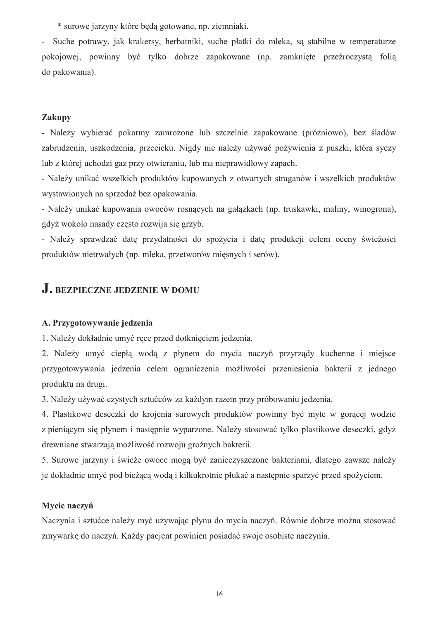\* surowe jarzyny które beda gotowane, np. ziemniaki.

- Suche potrawy, jak krakersy, herbatniki, suche płatki do mleka, sa stabilne w temperaturze pokojowej, powinny być tylko dobrze zapakowane (np. zamknięte przeźroczystą folią do pakowania).

# Zakupy

- Należy wybierać pokarmy zamrożone lub szczelnie zapakowane (próżniowo), bez śladów zabrudzenia, uszkodzenia, przecieku. Nigdy nie należy używać pożywienia z puszki, która syczy lub z której uchodzi gaz przy otwieraniu, lub ma nieprawidłowy zapach.

- Należy unikać wszelkich produktów kupowanych z otwartych straganów i wszelkich produktów wystawionych na sprzedaż bez opakowania.

- Należy unikać kupowania owoców rosnących na gałązkach (np. truskawki, maliny, winogrona), gdyż wokoło nasady często rozwija się grzyb.

- Należy sprawdzać date przydatności do spożycia i date produkcji celem oceny świeżości produktów nietrwałych (np. mleka, przetworów miesnych i serów).

# J. BEZPIECZNE JEDZENIE W DOMU

# A. Przygotowywanie jedzenia

1. Należy dokładnie umyć rece przed dotknięciem jedzenia.

2. Należy umyć ciepła woda z płynem do mycia naczyń przyrządy kuchenne i miejsce przygotowywania jedzenia celem ograniczenia możliwości przeniesienia bakterii z jednego produktu na drugi.

3. Należy używać czystych sztućców za każdym razem przy próbowaniu jedzenia.

4. Plastikowe deseczki do krojenia surowych produktów powinny być myte w goracej wodzie z pieniącym się płynem i następnie wyparzone. Należy stosować tylko plastikowe deseczki, gdyż drewniane stwarzają możliwość rozwoju groźnych bakterii.

5. Surowe jarzyny i świeże owoce mogą być zanieczyszczone bakteriami, dlatego zawsze należy je dokładnie umyć pod bieżącą wodą i kilkukrotnie płukać a następnie sparzyć przed spożyciem.

# Mvcie naczyń

Naczynia i sztućce należy myć używając płynu do mycia naczyń. Równie dobrze można stosować zmywarkę do naczyń. Każdy pacjent powinien posiadać swoje osobiste naczynia.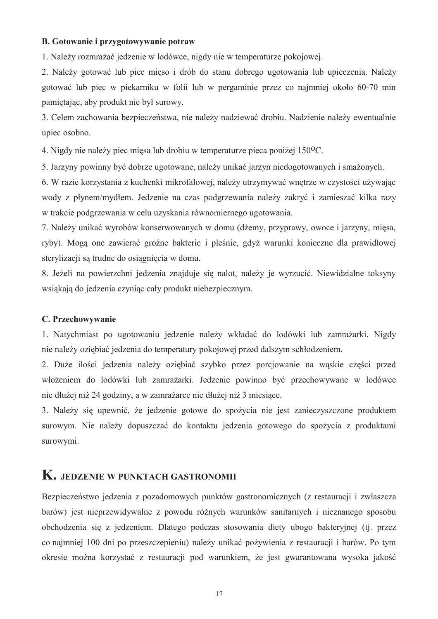### B. Gotowanie i przygotowywanie potraw

1. Należy rozmrażać jedzenie w lodówce, nigdy nie w temperaturze pokojowej.

2. Należy gotować lub piec mięso i drób do stanu dobrego ugotowania lub upieczenia. Należy gotować lub piec w piekarniku w folii lub w pergaminie przez co najmniej około 60-70 min pamietając, aby produkt nie był surowy.

3. Celem zachowania bezpieczeństwa, nie należy nadziewać drobiu. Nadzienie należy ewentualnie upiec osobno.

4. Nigdy nie należy piec miesa lub drobiu w temperaturze pieca poniżej 150<sup>o</sup>C.

5. Jarzyny powinny być dobrze ugotowane, należy unikać jarzyn niedogotowanych i smażonych.

6. W razie korzystania z kuchenki mikrofalowej, należy utrzymywać wnętrze w czystości używając wody z płynem/mydłem. Jedzenie na czas podgrzewania należy zakryć i zamieszać kilka razy w trakcie podgrzewania w celu uzyskania równomiernego ugotowania.

7. Należy unikać wyrobów konserwowanych w domu (dżemy, przyprawy, owoce i jarzyny, mięsa, ryby). Mogą one zawierać groźne bakterie i pleśnie, gdyż warunki konieczne dla prawidłowej sterylizacji są trudne do osiągnięcia w domu.

8. Jeżeli na powierzchni jedzenia znajduje się nalot, należy je wyrzucić. Niewidzialne toksyny wsiąkają do jedzenia czyniąc cały produkt niebezpiecznym.

## C. Przechowywanie

1. Natvchmiast po ugotowaniu jedzenie należy wkładać do lodówki lub zamrażarki. Nigdy nie należy oziębiać jedzenia do temperatury pokojowej przed dalszym schłodzeniem.

2. Duże ilości jedzenia należy oziębiać szybko przez porcjowanie na wąskie części przed włożeniem do lodówki lub zamrażarki. Jedzenie powinno być przechowywane w lodówce nie dłużej niż 24 godziny, a w zamrażarce nie dłużej niż 3 miesiące.

3. Należy się upewnić, że jedzenie gotowe do spożycia nie jest zanieczyszczone produktem surowym. Nie należy dopuszczać do kontaktu jedzenia gotowego do spożycia z produktami surowymi.

# K. JEDZENIE W PUNKTACH GASTRONOMII

Bezpieczeństwo jedzenia z pozadomowych punktów gastronomicznych (z restauracji i zwłaszcza barów) jest nieprzewidywalne z powodu różnych warunków sanitarnych i nieznanego sposobu obchodzenia się z jedzeniem. Dlatego podczas stosowania diety ubogo bakteryjnej (tj. przez co najmniej 100 dni po przeszczepieniu) należy unikać pożywienia z restauracji i barów. Po tym okresie można korzystać z restauracji pod warunkiem, że jest gwarantowana wysoka jakość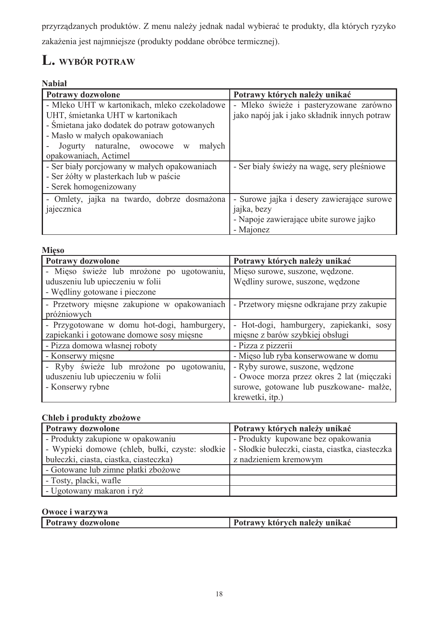przyrządzanych produktów. Z menu należy jednak nadal wybierać te produkty, dla których ryzyko zakażenia jest najmniejsze (produkty poddane obróbce termicznej).

# L. WYBÓR POTRAW

# **Nabiał**

| Potrawy dozwolone                            | Potrawy których należy unikać                |  |  |
|----------------------------------------------|----------------------------------------------|--|--|
| - Mleko UHT w kartonikach, mleko czekoladowe | - Mleko świeże i pasteryzowane zarówno       |  |  |
| UHT, śmietanka UHT w kartonikach             | jako napój jak i jako składnik innych potraw |  |  |
| - Smietana jako dodatek do potraw gotowanych |                                              |  |  |
| - Masło w małych opakowaniach                |                                              |  |  |
| Jogurty naturalne, owocowe w<br>małych       |                                              |  |  |
| opakowaniach, Actimel                        |                                              |  |  |
| - Ser biały porcjowany w małych opakowaniach | - Ser biały świeży na wagę, sery pleśniowe   |  |  |
| - Ser żółty w plasterkach lub w paście       |                                              |  |  |
| - Serek homogenizowany                       |                                              |  |  |
| - Omlety, jajka na twardo, dobrze dosmażona  | - Surowe jajka i desery zawierające surowe   |  |  |
| jajecznica                                   | jajka, bezy                                  |  |  |
|                                              | - Napoje zawierające ubite surowe jajko      |  |  |
|                                              | - Majonez                                    |  |  |

| <b>Mieso</b>                                |                                           |  |  |
|---------------------------------------------|-------------------------------------------|--|--|
| <b>Potrawy dozwolone</b>                    | Potrawy których należy unikać             |  |  |
| - Mieso świeże lub mrożone po ugotowaniu,   | Mięso surowe, suszone, wędzone.           |  |  |
| uduszeniu lub upieczeniu w folii            | Wędliny surowe, suszone, wędzone          |  |  |
| - Wędliny gotowane i pieczone               |                                           |  |  |
| - Przetwory mięsne zakupione w opakowaniach | - Przetwory mięsne odkrajane przy zakupie |  |  |
| próżniowych                                 |                                           |  |  |
| - Przygotowane w domu hot-dogi, hamburgery, | - Hot-dogi, hamburgery, zapiekanki, sosy  |  |  |
| zapiekanki i gotowane domowe sosy mięsne    | mięsne z barów szybkiej obsługi           |  |  |
| - Pizza domowa własnej roboty               | - Pizza z pizzerii                        |  |  |
| - Konserwy mięsne                           | - Mięso lub ryba konserwowane w domu      |  |  |
| - Ryby świeże lub mrożone po ugotowaniu,    | - Ryby surowe, suszone, wędzone           |  |  |
| uduszeniu lub upieczeniu w folii            | - Owoce morza przez okres 2 lat (mięczaki |  |  |
| - Konserwy rybne                            | surowe, gotowane lub puszkowane- małże,   |  |  |
|                                             | krewetki, itp.)                           |  |  |

# Chleb i produkty zbożowe

| Potrawy dozwolone                               | Potrawy których należy unikać                   |
|-------------------------------------------------|-------------------------------------------------|
| - Produkty zakupione w opakowaniu               | - Produkty kupowane bez opakowania              |
| - Wypieki domowe (chleb, bułki, czyste: słodkie | - Słodkie bułeczki, ciasta, ciastka, ciasteczka |
| bułeczki, ciasta, ciastka, ciasteczka)          | z nadzieniem kremowym                           |
| - Gotowane lub zimne płatki zbożowe             |                                                 |
| - Tosty, placki, wafle                          |                                                 |
| - Ugotowany makaron i ryż                       |                                                 |

# Owoce i warzywa

| <b>Potrawy dozwolone</b> | Potrawy których należy unikać |
|--------------------------|-------------------------------|
|--------------------------|-------------------------------|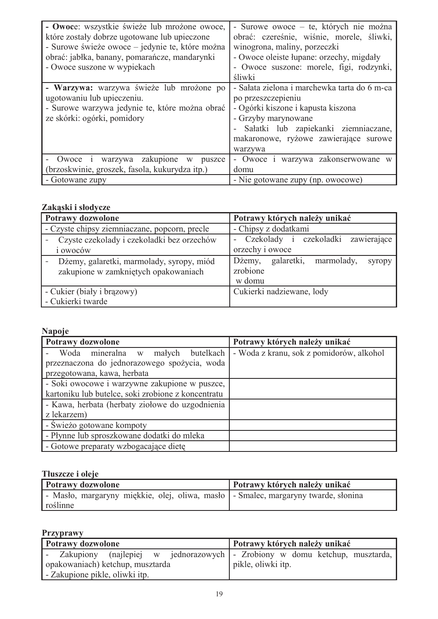| - Owoce: wszystkie świeże lub mrożone owoce,<br>które zostały dobrze ugotowane lub upieczone<br>- Surowe świeże owoce – jedynie te, które można<br>obrać: jabłka, banany, pomarańcze, mandarynki<br>- Owoce suszone w wypiekach | - Surowe owoce – te, których nie można<br>obrać: czereśnie, wiśnie, morele, śliwki,<br>winogrona, maliny, porzeczki<br>- Owoce oleiste łupane: orzechy, migdały<br>- Owoce suszone: morele, figi, rodzynki, |
|---------------------------------------------------------------------------------------------------------------------------------------------------------------------------------------------------------------------------------|-------------------------------------------------------------------------------------------------------------------------------------------------------------------------------------------------------------|
|                                                                                                                                                                                                                                 | śliwki<br>- Sałata zielona i marchewka tarta do 6 m-ca                                                                                                                                                      |
| - Warzywa: warzywa świeże lub mrożone po<br>ugotowaniu lub upieczeniu.<br>- Surowe warzywa jedynie te, które można obrać<br>ze skórki: ogórki, pomidory                                                                         | po przeszczepieniu<br>- Ogórki kiszone i kapusta kiszona<br>- Grzyby marynowane<br>Sałatki lub zapiekanki ziemniaczane,<br>makaronowe, ryżowe zawierające surowe<br>warzywa                                 |
| Owoce i warzywa zakupione<br>W<br>puszce                                                                                                                                                                                        | - Owoce i warzywa zakonserwowane w                                                                                                                                                                          |
| (brzoskwinie, groszek, fasola, kukurydza itp.)                                                                                                                                                                                  | domu                                                                                                                                                                                                        |
| - Gotowane zupy                                                                                                                                                                                                                 | - Nie gotowane zupy (np. owocowe)                                                                                                                                                                           |

# Zakaski i słodycze

| Potrawy dozwolone                                                                 | Potrawy których należy unikać                                |  |  |  |
|-----------------------------------------------------------------------------------|--------------------------------------------------------------|--|--|--|
| - Czyste chipsy ziemniaczane, popcorn, precle                                     | - Chipsy z dodatkami                                         |  |  |  |
| Czyste czekolady i czekoladki bez orzechów<br>i owoców                            | - Czekolady i czekoladki zawierające<br>orzechy i owoce      |  |  |  |
| Dżemy, galaretki, marmolady, syropy, miód<br>zakupione w zamkniętych opakowaniach | Dżemy, galaretki, marmolady,<br>syropy<br>zrobione<br>w domu |  |  |  |
| - Cukier (biały i brązowy)                                                        | Cukierki nadziewane, lody                                    |  |  |  |
| - Cukierki twarde                                                                 |                                                              |  |  |  |

# Napoje

| Potrawy dozwolone                                  | Potrawy których należy unikać            |  |  |
|----------------------------------------------------|------------------------------------------|--|--|
| Woda mineralna w małych butelkach                  | - Woda z kranu, sok z pomidorów, alkohol |  |  |
| przeznaczona do jednorazowego spożycia, woda       |                                          |  |  |
| przegotowana, kawa, herbata                        |                                          |  |  |
| - Soki owocowe i warzywne zakupione w puszce,      |                                          |  |  |
| kartoniku lub butelce, soki zrobione z koncentratu |                                          |  |  |
| - Kawa, herbata (herbaty ziołowe do uzgodnienia    |                                          |  |  |
| z lekarzem)                                        |                                          |  |  |
| - Świeżo gotowane kompoty                          |                                          |  |  |
| - Płynne lub sproszkowane dodatki do mleka         |                                          |  |  |
| - Gotowe preparaty wzbogacające dietę              |                                          |  |  |

# Tłuszcze i oleje

| Potrawy dozwolone                                                                    | Potrawy których należy unikać |
|--------------------------------------------------------------------------------------|-------------------------------|
| - Masło, margaryny miękkie, olej, oliwa, masło   - Smalec, margaryny twarde, słonina |                               |
| roślinne                                                                             |                               |

# Przyprawy

| <b>Potrawy dozwolone</b>                                                     | Potrawy których należy unikać |  |  |
|------------------------------------------------------------------------------|-------------------------------|--|--|
| - Zakupiony (najlepiej w jednorazowych - Zrobiony w domu ketchup, musztarda, |                               |  |  |
| opakowaniach) ketchup, musztarda                                             | pikle, oliwki itp.            |  |  |
| ' - Zakupione pikle, oliwki itp.                                             |                               |  |  |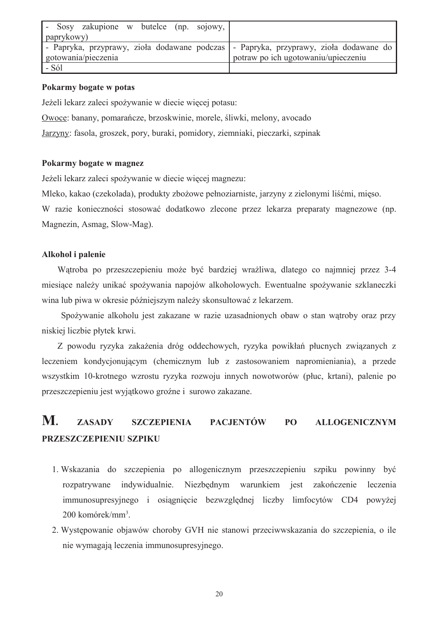| Sosy zakupione w butelce (np. sojowy,                                                |                                     |
|--------------------------------------------------------------------------------------|-------------------------------------|
| paprykowy)                                                                           |                                     |
| - Papryka, przyprawy, zioła dodawane podczas - Papryka, przyprawy, zioła dodawane do |                                     |
| gotowania/pieczenia                                                                  | potraw po ich ugotowaniu/upieczeniu |
| - Sól                                                                                |                                     |

## Pokarmy bogate w potas

Jeżeli lekarz zaleci spożywanie w diecie wiecej potasu:

Owoce: banany, pomarańcze, brzoskwinie, morele, śliwki, melony, avocado

Jarzyny: fasola, groszek, pory, buraki, pomidory, ziemniaki, pieczarki, szpinak

# Pokarmy bogate w magnez

Jeżeli lekarz zaleci spożywanie w diecie więcej magnezu:

Mleko, kakao (czekolada), produkty zbożowe pełnoziarniste, jarzyny z zielonymi liśćmi, mięso.

W razie konieczności stosować dodatkowo zlecone przez lekarza preparaty magnezowe (np. Magnezin, Asmag, Slow-Mag).

# Alkohol i palenie

Watroba po przeszczepieniu może być bardziej wrażliwa, dlatego co najmniej przez 3-4 miesiące należy unikać spożywania napojów alkoholowych. Ewentualne spożywanie szklaneczki wina lub piwa w okresie późniejszym należy skonsultować z lekarzem.

Spożywanie alkoholu jest zakazane w razie uzasadnionych obaw o stan wątroby oraz przy niskiej liczbie płytek krwi.

Z powodu ryzyka zakażenia dróg oddechowych, ryzyka powikłań płucnych związanych z leczeniem kondycjonującym (chemicznym lub z zastosowaniem napromieniania), a przede wszystkim 10-krotnego wzrostu ryzyka rozwoju innych nowotworów (płuc, krtani), palenie po przeszczepieniu jest wyjątkowo groźne i surowo zakazane.

#### M. **ZASADY SZCZEPIENIA PACJENTÓW** PO **ALLOGENICZNYM** PRZESZCZEPIENIU SZPIKU

- 1. Wskazania do szczepienia po allogenicznym przeszczepieniu szpiku powinny być Niezbednym warunkiem jest rozpatrywane indywidualnie. zakończenie leczenia immunosupresyjnego i osiągnięcie bezwzględnej liczby limfocytów CD4 powyżej  $200$  komórek/mm<sup>3</sup>.
- 2. Występowanie objawów choroby GVH nie stanowi przeciwwskazania do szczepienia, o ile nie wymagają leczenia immunosupresyjnego.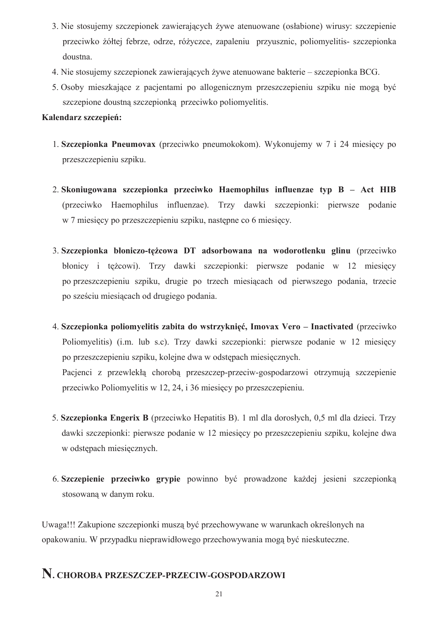- 3. Nie stosujemy szczepionek zawierających żywe atenuowane (osłabione) wirusy: szczepienie przeciwko żółtej febrze, odrze, różyczce, zapaleniu przyusznic, poliomyelitis- szczepionka doustna.
- 4. Nie stosujemy szczepionek zawierających żywe atenuowane bakterie szczepionka BCG.
- 5. Osoby mieszkające z pacjentami po allogenicznym przeszczepieniu szpiku nie mogą być szczepione doustna szczepionka przeciwko poliomyelitis.

# Kalendarz szczepień:

- 1. Szczepionka Pneumovax (przeciwko pneumokokom). Wykonujemy w 7 i 24 miesięcy po przeszczepieniu szpiku.
- 2. Skoniugowana szczepionka przeciwko Haemophilus influenzae typ B Act HIB (przeciwko Haemophilus influenzae). Trzy dawki szczepionki: pierwsze podanie w 7 miesięcy po przeszczepieniu szpiku, następne co 6 miesięcy.
- 3. Szczepionka błoniczo-tężcowa DT adsorbowana na wodorotlenku glinu (przeciwko błonicy i tężcowi). Trzy dawki szczepionki: pierwsze podanie w 12 miesiecy po przeszczepieniu szpiku, drugie po trzech miesiącach od pierwszego podania, trzecie po sześciu miesiacach od drugiego podania.
- 4. Szczepionka poliomyelitis zabita do wstrzyknięć, Imovax Vero Inactivated (przeciwko Poliomyelitis) (i.m. lub s.c). Trzy dawki szczepionki: pierwsze podanie w 12 miesięcy po przeszczepieniu szpiku, kolejne dwa w odstępach miesięcznych. Pacjenci z przewlekłą chorobą przeszczep-przeciw-gospodarzowi otrzymują szczepienie przeciwko Poliomyelitis w 12, 24, i 36 miesięcy po przeszczepieniu.
- 5. Szczepionka Engerix B (przeciwko Hepatitis B). 1 ml dla dorosłych, 0,5 ml dla dzieci. Trzy dawki szczepionki: pierwsze podanie w 12 miesięcy po przeszczepieniu szpiku, kolejne dwa w odstępach miesięcznych.
- 6. Szczepienie przeciwko grypie powinno być prowadzone każdej jesieni szczepionką stosowaną w danym roku.

Uwaga!!! Zakupione szczepionki muszą być przechowywane w warunkach określonych na opakowaniu. W przypadku nieprawidłowego przechowywania mogą być nieskuteczne.

# N. CHOROBA PRZESZCZEP-PRZECIW-GOSPODARZOWI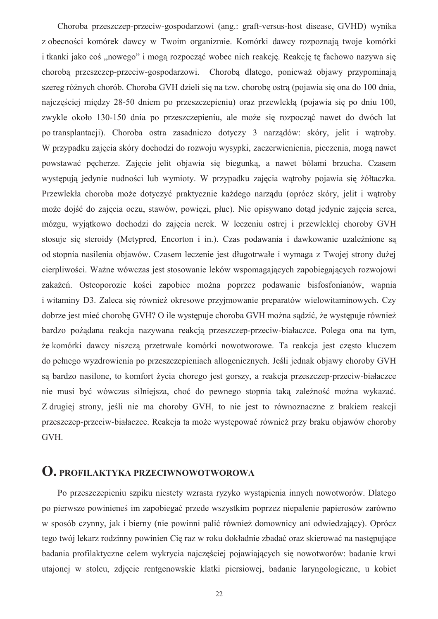Choroba przeszczep-przeciw-gospodarzowi (ang.: graft-versus-host disease, GVHD) wynika z obecności komórek dawcy w Twoim organizmie. Komórki dawcy rozpoznają twoje komórki i tkanki jako coś "nowego" i mogą rozpocząć wobec nich reakcję. Reakcję tę fachowo nazywa się choroba przeszczep-przeciw-gospodarzowi. Choroba dlatego, ponieważ obiawy przypominają szereg różnych chorób. Choroba GVH dzieli się na tzw. chorobę ostrą (pojawia się ona do 100 dnia, najczęściej między 28-50 dniem po przeszczepieniu) oraz przewlekła (pojawia się po dniu 100, zwykle około 130-150 dnia po przeszczepieniu, ale może się rozpocząć nawet do dwóch lat po transplantacii). Choroba ostra zasadniczo dotyczy 3 narządów: skóry, jelit i watroby. W przypadku zajęcia skóry dochodzi do rozwoju wysypki, zaczerwienienia, pieczenia, mogą nawet powstawać pecherze. Zajecie jelit objawia się biegunka, a nawet bólami brzucha. Czasem występują jedynie nudności lub wymioty. W przypadku zajęcia wątroby pojawia się żółtaczka. Przewlekła choroba może dotyczyć praktycznie każdego narządu (oprócz skóry, jelit i watroby może dojść do zajęcia oczu, stawów, powięzi, płuc). Nie opisywano dotąd jedynie zajęcia serca, mózgu, wyjątkowo dochodzi do zajęcia nerek. W leczeniu ostrej i przewlekłej choroby GVH stosuje się steroidy (Metypred, Encorton i in.). Czas podawania i dawkowanie uzależnione sa od stopnia nasilenia objawów. Czasem leczenie jest długotrwałe i wymaga z Twojej strony dużej cierpliwości. Ważne wówczas jest stosowanie leków wspomagających zapobiegających rozwojowi zakażeń. Osteoporozie kości zapobiec można poprzez podawanie bisfosfonianów, wapnia i witaminy D3. Zaleca się również okresowe przyjmowanie preparatów wielowitaminowych. Czy dobrze jest mieć chorobę GVH? O ile występuje choroba GVH można sądzić, że występuje również bardzo pożądana reakcja nazywana reakcją przeszczep-przeciw-białaczce. Polega ona na tym, że komórki dawcy niszczą przetrwałe komórki nowotworowe. Ta reakcja jest często kluczem do pełnego wyzdrowienia po przeszczepieniach allogenicznych. Jeśli jednak objawy choroby GVH sa bardzo nasilone, to komfort życia chorego jest gorszy, a reakcja przeszczep-przeciw-białaczce nie musi być wówczas silniejsza, choć do pewnego stopnia taką zależność można wykazać. Z drugiej strony, jeśli nie ma choroby GVH, to nie jest to równoznaczne z brakiem reakcji przeszczep-przeciw-białaczce. Reakcja ta może występować również przy braku objawów choroby GVH.

# **O.** PROFILAKTYKA PRZECIWNOWOTWOROWA

Po przeszczepieniu szpiku niestety wzrasta ryzyko wystąpienia innych nowotworów. Dlatego po pierwsze powinieneś im zapobiegać przede wszystkim poprzez niepalenie papierosów zarówno w sposób czynny, jak i bierny (nie powinni palić również domownicy ani odwiedzający). Oprócz tego twój lekarz rodzinny powinien Cię raz w roku dokładnie zbadać oraz skierować na nastepujące badania profilaktyczne celem wykrycia najcześciej pojawiających się nowotworów: badanie krwi utajonej w stolcu, zdjęcie rentgenowskie klatki piersiowej, badanie laryngologiczne, u kobiet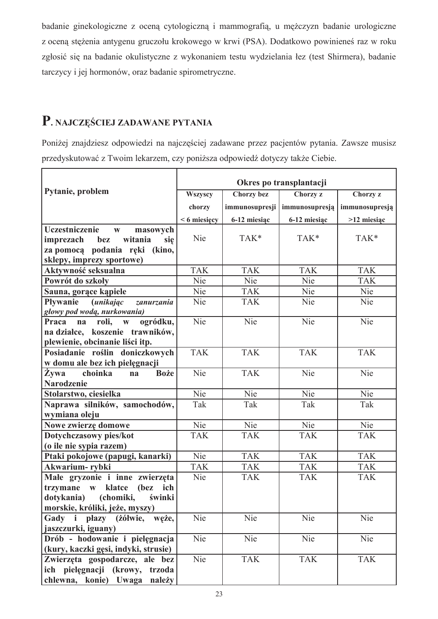badanie ginekologiczne z oceną cytologiczną i mammografią, u mężczyzn badanie urologiczne z oceną stężenia antygenu gruczołu krokowego w krwi (PSA). Dodatkowo powinieneś raz w roku zgłosić się na badanie okulistyczne z wykonaniem testu wydzielania łez (test Shirmera), badanie tarczycy i jej hormonów, oraz badanie spirometryczne.

# P. NAJCZĘŚCIEJ ZADAWANE PYTANIA

Poniżej znajdziesz odpowiedzi na najczęściej zadawane przez pacjentów pytania. Zawsze musisz przedyskutować z Twoim lekarzem, czy poniższa odpowiedź dotyczy także Ciebie.

|                                                   | Okres po transplantacji |                |                |                |
|---------------------------------------------------|-------------------------|----------------|----------------|----------------|
| Pytanie, problem                                  | Wszyscy                 | Chorzy bez     | Chorzy z       | Chorzy z       |
|                                                   | chorzy                  | immunosupresji | immunosupresją | immunosupresją |
|                                                   | $<$ 6 miesięcy          | 6-12 miesiąc   | 6-12 miesiąc   | >12 miesiąc    |
| Uczestniczenie<br>masowych<br>$\mathbf{W}$        |                         |                |                |                |
| witania<br>imprezach<br>bez<br>się                | Nie                     | TAK*           | TAK*           | TAK*           |
| za pomocą podania ręki (kino,                     |                         |                |                |                |
| sklepy, imprezy sportowe)                         |                         |                |                |                |
| Aktywność seksualna                               | <b>TAK</b>              | <b>TAK</b>     | <b>TAK</b>     | <b>TAK</b>     |
| Powrót do szkoły                                  | Nie                     | <b>Nie</b>     | Nie            | <b>TAK</b>     |
| Sauna, gorące kąpiele                             | Nie                     | <b>TAK</b>     | Nie            | Nie            |
| Pływanie<br><i>(unikając</i><br>zanurzania        | Nie                     | <b>TAK</b>     | Nie            | Nie            |
| głowy pod wodą, nurkowania)                       |                         |                |                |                |
| ogródku,<br>Praca<br>roli,<br>$\mathbf{W}$<br>na  | Nie                     | Nie            | Nie            | Nie            |
| na działce, koszenie trawników,                   |                         |                |                |                |
| plewienie, obcinanie liści itp.                   |                         |                |                |                |
| Posiadanie roślin doniczkowych                    | <b>TAK</b>              | <b>TAK</b>     | <b>TAK</b>     | <b>TAK</b>     |
| w domu ale bez ich pielęgnacji                    |                         |                |                |                |
| Żywa<br>choinka<br><b>Boże</b><br>na              | Nie                     | <b>TAK</b>     | Nie            | Nie            |
| <b>Narodzenie</b>                                 |                         |                |                |                |
| Stolarstwo, ciesielka                             | Nie                     | Nie            | <b>Nie</b>     | Nie            |
| Naprawa silników, samochodów,                     | Tak                     | Tak            | Tak            | Tak            |
| wymiana oleju                                     |                         |                |                |                |
| Nowe zwierzę domowe                               | Nie                     | Nie            | Nie            | Nie            |
| Dotychczasowy pies/kot                            | <b>TAK</b>              | <b>TAK</b>     | <b>TAK</b>     | <b>TAK</b>     |
| (o ile nie sypia razem)                           |                         |                |                |                |
| Ptaki pokojowe (papugi, kanarki)                  | Nie                     | <b>TAK</b>     | <b>TAK</b>     | <b>TAK</b>     |
| Akwarium-rybki                                    | <b>TAK</b>              | <b>TAK</b>     | <b>TAK</b>     | <b>TAK</b>     |
| Małe gryzonie i inne zwierzęta                    | Nie                     | <b>TAK</b>     | <b>TAK</b>     | <b>TAK</b>     |
| klatce<br>trzymane<br>(bez<br>ich<br>$\mathbf{W}$ |                         |                |                |                |
| dotykania)<br>(chomiki,<br>świnki                 |                         |                |                |                |
| morskie, króliki, jeże, myszy)                    |                         |                |                |                |
| Gady i płazy (żółwie,<br>węże,                    | Nie                     | <b>Nie</b>     | Nie            | Nie            |
| jaszczurki, iguany)                               |                         |                |                |                |
| Drób - hodowanie i pielęgnacja                    | Nie                     | Nie            | Nie            | Nie            |
| (kury, kaczki gęsi, indyki, strusie)              |                         |                |                |                |
| Zwierzęta gospodarcze, ale bez                    | Nie                     | <b>TAK</b>     | <b>TAK</b>     | <b>TAK</b>     |
| ich pielęgnacji (krowy, trzoda                    |                         |                |                |                |
| chlewna, konie) Uwaga należy                      |                         |                |                |                |